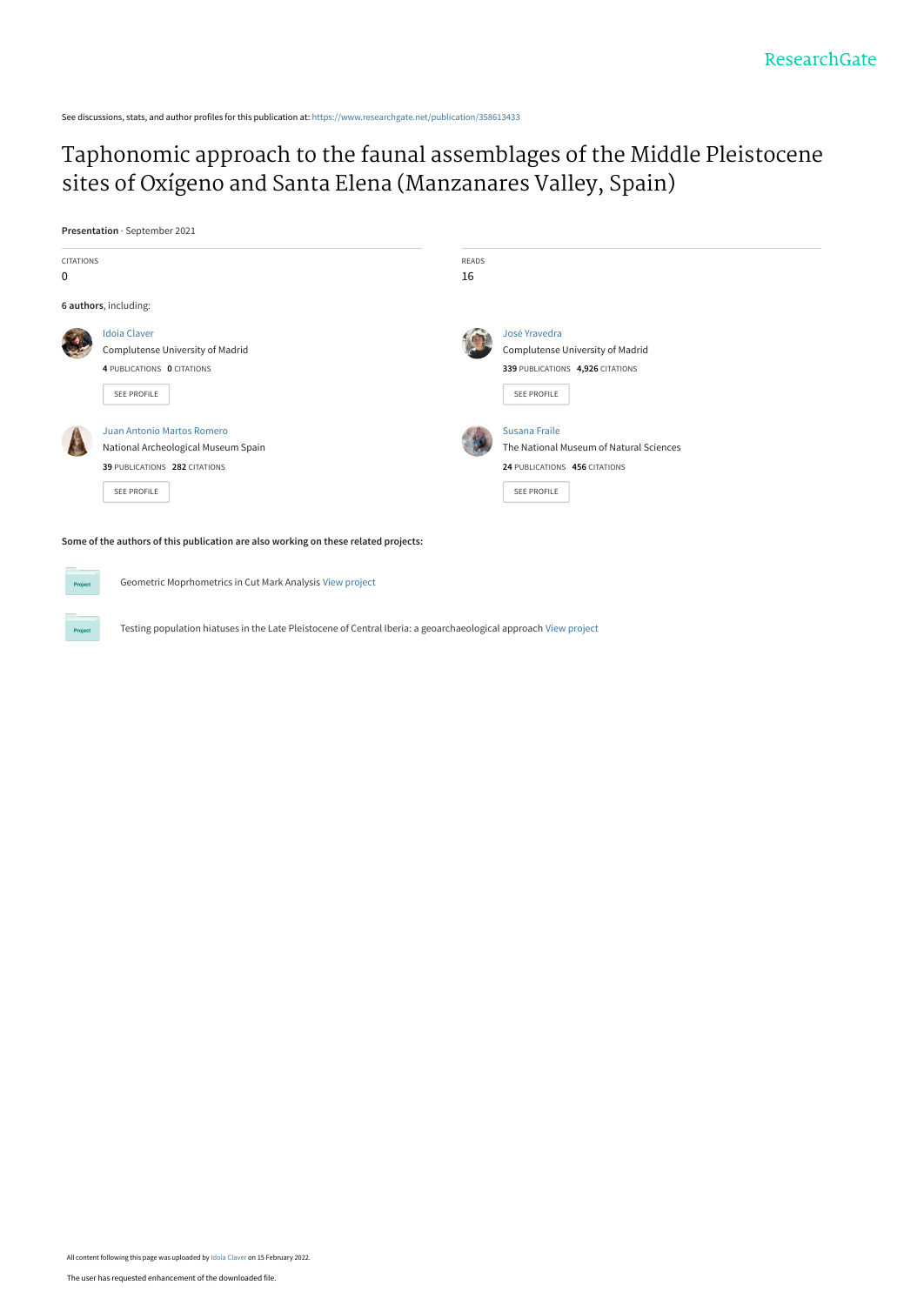See discussions, stats, and author profiles for this publication at: [https://www.researchgate.net/publication/358613433](https://www.researchgate.net/publication/358613433_Taphonomic_approach_to_the_faunal_assemblages_of_the_Middle_Pleistocene_sites_of_Oxigeno_and_Santa_Elena_Manzanares_Valley_Spain?enrichId=rgreq-e44ae197fcae44c5907343c9fecbf973-XXX&enrichSource=Y292ZXJQYWdlOzM1ODYxMzQzMztBUzoxMTIzNzI2MTQ1OTIxMDI0QDE2NDQ5Mjg1OTkyMzQ%3D&el=1_x_2&_esc=publicationCoverPdf)

## [Taphonomic approach to the faunal assemblages of the Middle Pleistocene](https://www.researchgate.net/publication/358613433_Taphonomic_approach_to_the_faunal_assemblages_of_the_Middle_Pleistocene_sites_of_Oxigeno_and_Santa_Elena_Manzanares_Valley_Spain?enrichId=rgreq-e44ae197fcae44c5907343c9fecbf973-XXX&enrichSource=Y292ZXJQYWdlOzM1ODYxMzQzMztBUzoxMTIzNzI2MTQ1OTIxMDI0QDE2NDQ5Mjg1OTkyMzQ%3D&el=1_x_3&_esc=publicationCoverPdf) sites of Oxígeno and Santa Elena (Manzanares Valley, Spain)

**Presentation** · September 2021



Geometric Moprhometrics in Cut Mark Analysis [View project](https://www.researchgate.net/project/Geometric-Moprhometrics-in-Cut-Mark-Analysis?enrichId=rgreq-e44ae197fcae44c5907343c9fecbf973-XXX&enrichSource=Y292ZXJQYWdlOzM1ODYxMzQzMztBUzoxMTIzNzI2MTQ1OTIxMDI0QDE2NDQ5Mjg1OTkyMzQ%3D&el=1_x_9&_esc=publicationCoverPdf)

Testing population hiatuses in the Late Pleistocene of Central Iberia: a geoarchaeological approach [View project](https://www.researchgate.net/project/Testing-population-hiatuses-in-the-Late-Pleistocene-of-Central-Iberia-a-geoarchaeological-approach?enrichId=rgreq-e44ae197fcae44c5907343c9fecbf973-XXX&enrichSource=Y292ZXJQYWdlOzM1ODYxMzQzMztBUzoxMTIzNzI2MTQ1OTIxMDI0QDE2NDQ5Mjg1OTkyMzQ%3D&el=1_x_9&_esc=publicationCoverPdf)